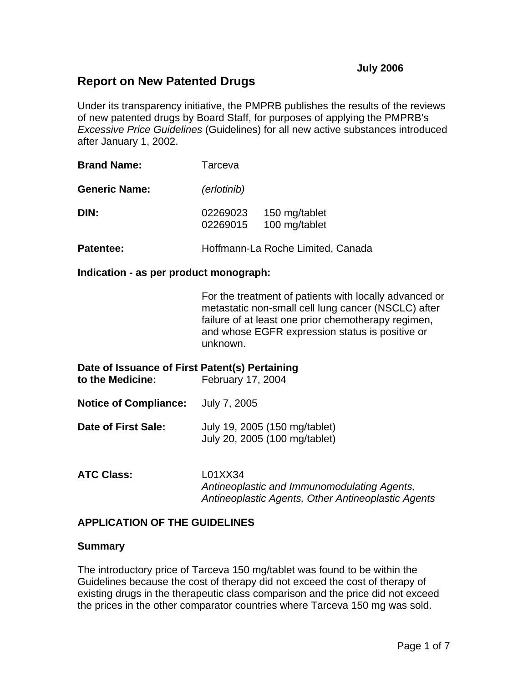# **Report on New Patented Drugs**

Under its transparency initiative, the PMPRB publishes the results of the reviews of new patented drugs by Board Staff, for purposes of applying the PMPRB's *Excessive Price Guidelines* (Guidelines) for all new active substances introduced after January 1, 2002.

| <b>Brand Name:</b>   | Tarceva              |                                |  |  |
|----------------------|----------------------|--------------------------------|--|--|
| <b>Generic Name:</b> | (erlotinib)          |                                |  |  |
| DIN:                 | 02269023<br>02269015 | 150 mg/tablet<br>100 mg/tablet |  |  |
|                      |                      | $\blacksquare$                 |  |  |

#### **Patentee:** Hoffmann-La Roche Limited, Canada

#### **Indication - as per product monograph:**

For the treatment of patients with locally advanced or metastatic non-small cell lung cancer (NSCLC) after failure of at least one prior chemotherapy regimen, and whose EGFR expression status is positive or unknown.

| Date of Issuance of First Patent(s) Pertaining<br>to the Medicine: | February 17, 2004                                              |
|--------------------------------------------------------------------|----------------------------------------------------------------|
| <b>Notice of Compliance:</b>                                       | July 7, 2005                                                   |
| Date of First Sale:                                                | July 19, 2005 (150 mg/tablet)<br>July 20, 2005 (100 mg/tablet) |
| <b>ATC Class:</b>                                                  | L01XX34                                                        |

*Antineoplastic and Immunomodulating Agents, Antineoplastic Agents, Other Antineoplastic Agents* 

## **APPLICATION OF THE GUIDELINES**

#### **Summary**

The introductory price of Tarceva 150 mg/tablet was found to be within the Guidelines because the cost of therapy did not exceed the cost of therapy of existing drugs in the therapeutic class comparison and the price did not exceed the prices in the other comparator countries where Tarceva 150 mg was sold.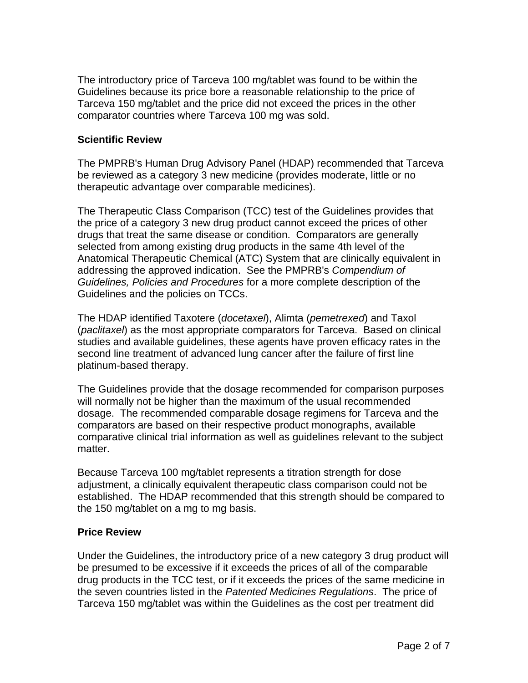The introductory price of Tarceva 100 mg/tablet was found to be within the Guidelines because its price bore a reasonable relationship to the price of Tarceva 150 mg/tablet and the price did not exceed the prices in the other comparator countries where Tarceva 100 mg was sold.

# **Scientific Review**

The PMPRB's Human Drug Advisory Panel (HDAP) recommended that Tarceva be reviewed as a category 3 new medicine (provides moderate, little or no therapeutic advantage over comparable medicines).

The Therapeutic Class Comparison (TCC) test of the Guidelines provides that the price of a category 3 new drug product cannot exceed the prices of other drugs that treat the same disease or condition. Comparators are generally selected from among existing drug products in the same 4th level of the Anatomical Therapeutic Chemical (ATC) System that are clinically equivalent in addressing the approved indication. See the PMPRB's *Compendium of Guidelines, Policies and Procedures* for a more complete description of the Guidelines and the policies on TCCs.

The HDAP identified Taxotere (*docetaxel*), Alimta (*pemetrexed*) and Taxol (*paclitaxel*) as the most appropriate comparators for Tarceva. Based on clinical studies and available guidelines, these agents have proven efficacy rates in the second line treatment of advanced lung cancer after the failure of first line platinum-based therapy.

The Guidelines provide that the dosage recommended for comparison purposes will normally not be higher than the maximum of the usual recommended dosage. The recommended comparable dosage regimens for Tarceva and the comparators are based on their respective product monographs, available comparative clinical trial information as well as guidelines relevant to the subject matter.

Because Tarceva 100 mg/tablet represents a titration strength for dose adjustment, a clinically equivalent therapeutic class comparison could not be established. The HDAP recommended that this strength should be compared to the 150 mg/tablet on a mg to mg basis.

## **Price Review**

Under the Guidelines, the introductory price of a new category 3 drug product will be presumed to be excessive if it exceeds the prices of all of the comparable drug products in the TCC test, or if it exceeds the prices of the same medicine in the seven countries listed in the *Patented Medicines Regulations*. The price of Tarceva 150 mg/tablet was within the Guidelines as the cost per treatment did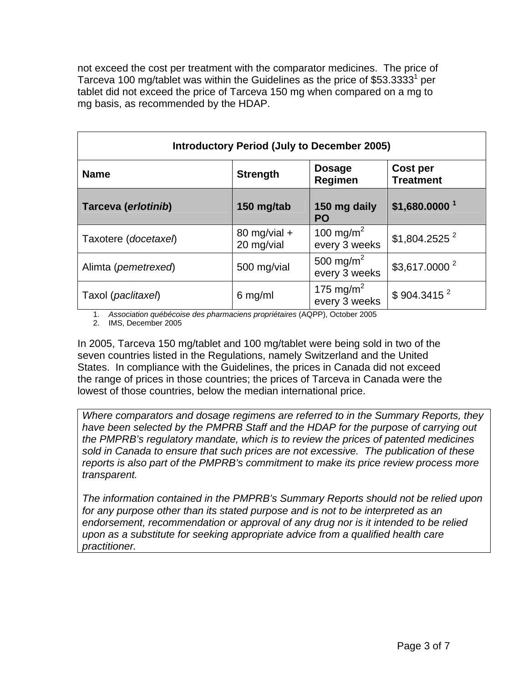not exceed the cost per treatment with the comparator medicines. The price of Tarceva 100 mg/tablet was within the Guidelines as the price of \$53.3333<sup>1</sup> per tablet did not exceed the price of Tarceva 150 mg when compared on a mg to mg basis, as recommended by the HDAP.

| <b>Introductory Period (July to December 2005)</b> |                              |                                        |                              |  |  |
|----------------------------------------------------|------------------------------|----------------------------------------|------------------------------|--|--|
| <b>Name</b>                                        | <b>Strength</b>              | <b>Dosage</b><br>Regimen               | Cost per<br><b>Treatment</b> |  |  |
| Tarceva (erlotinib)                                | 150 mg/tab                   | 150 mg daily<br><b>PO</b>              | $$1,680.0000$ <sup>1</sup>   |  |  |
| Taxotere (docetaxel)                               | 80 mg/vial $+$<br>20 mg/vial | 100 mg/m <sup>2</sup><br>every 3 weeks | $$1,804.2525$ <sup>2</sup>   |  |  |
| Alimta (pemetrexed)                                | 500 mg/vial                  | 500 mg/m <sup>2</sup><br>every 3 weeks | \$3,617.0000 <sup>2</sup>    |  |  |
| Taxol (paclitaxel)                                 | $6$ mg/ml                    | 175 mg/m <sup>2</sup><br>every 3 weeks | \$904.3415 <sup>2</sup>      |  |  |

1. *Association québécoise des pharmaciens propriétaires* (AQPP), October 2005

2. IMS, December 2005

In 2005, Tarceva 150 mg/tablet and 100 mg/tablet were being sold in two of the seven countries listed in the Regulations, namely Switzerland and the United States. In compliance with the Guidelines, the prices in Canada did not exceed the range of prices in those countries; the prices of Tarceva in Canada were the lowest of those countries, below the median international price.

*Where comparators and dosage regimens are referred to in the Summary Reports, they have been selected by the PMPRB Staff and the HDAP for the purpose of carrying out the PMPRB's regulatory mandate, which is to review the prices of patented medicines sold in Canada to ensure that such prices are not excessive. The publication of these reports is also part of the PMPRB's commitment to make its price review process more transparent.* 

*The information contained in the PMPRB's Summary Reports should not be relied upon*  for any purpose other than its stated purpose and is not to be interpreted as an endorsement, recommendation or approval of any drug nor is it intended to be relied *upon as a substitute for seeking appropriate advice from a qualified health care practitioner.*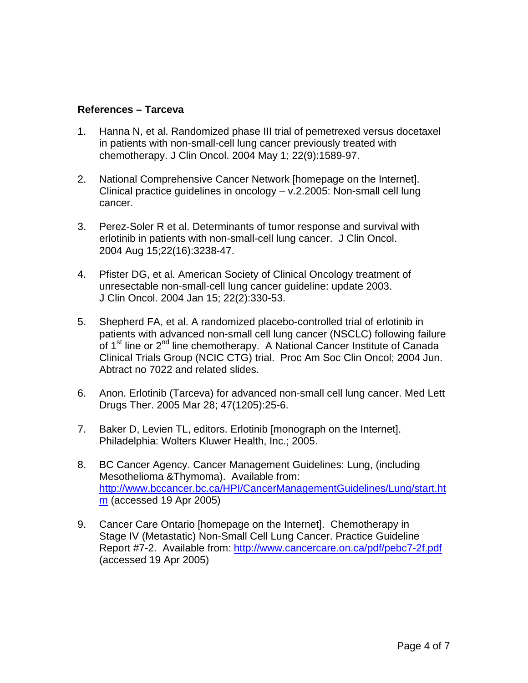# **References – Tarceva**

- 1. Hanna N, et al. Randomized phase III trial of pemetrexed versus docetaxel in patients with non-small-cell lung cancer previously treated with chemotherapy. J Clin Oncol. 2004 May 1; 22(9):1589-97.
- 2. National Comprehensive Cancer Network [homepage on the Internet]. Clinical practice guidelines in oncology – v.2.2005: Non-small cell lung cancer.
- 3. Perez-Soler R et al. Determinants of tumor response and survival with erlotinib in patients with non-small-cell lung cancer. J Clin Oncol. 2004 Aug 15;22(16):3238-47.
- 4. Pfister DG, et al. American Society of Clinical Oncology treatment of unresectable non-small-cell lung cancer guideline: update 2003. J Clin Oncol. 2004 Jan 15; 22(2):330-53.
- 5. Shepherd FA, et al. A randomized placebo-controlled trial of erlotinib in patients with advanced non-small cell lung cancer (NSCLC) following failure of 1<sup>st</sup> line or 2<sup>nd</sup> line chemotherapy. A National Cancer Institute of Canada Clinical Trials Group (NCIC CTG) trial. Proc Am Soc Clin Oncol; 2004 Jun. Abtract no 7022 and related slides.
- 6. Anon. Erlotinib (Tarceva) for advanced non-small cell lung cancer. Med Lett Drugs Ther. 2005 Mar 28; 47(1205):25-6.
- 7. Baker D, Levien TL, editors. Erlotinib [monograph on the Internet]. Philadelphia: Wolters Kluwer Health, Inc.; 2005.
- 8. BC Cancer Agency. Cancer Management Guidelines: Lung, (including Mesothelioma &Thymoma). Available from: http://www.bccancer.bc.ca/HPI/CancerManagementGuidelines/Lung/start.ht m (accessed 19 Apr 2005)
- 9. Cancer Care Ontario [homepage on the Internet]. Chemotherapy in Stage IV (Metastatic) Non-Small Cell Lung Cancer. Practice Guideline Report #7-2. Available from: http://www.cancercare.on.ca/pdf/pebc7-2f.pdf (accessed 19 Apr 2005)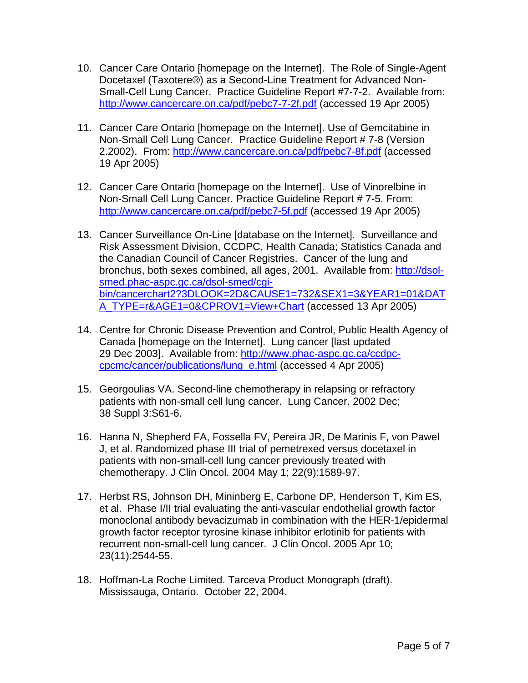- 10. Cancer Care Ontario [homepage on the Internet]. The Role of Single-Agent Docetaxel (Taxotere®) as a Second-Line Treatment for Advanced Non-Small-Cell Lung Cancer. Practice Guideline Report #7-7-2. Available from: http://www.cancercare.on.ca/pdf/pebc7-7-2f.pdf (accessed 19 Apr 2005)
- 11. Cancer Care Ontario [homepage on the Internet]. Use of Gemcitabine in Non-Small Cell Lung Cancer. Practice Guideline Report # 7-8 (Version 2.2002). From: http://www.cancercare.on.ca/pdf/pebc7-8f.pdf (accessed 19 Apr 2005)
- 12. Cancer Care Ontario [homepage on the Internet]. Use of Vinorelbine in Non-Small Cell Lung Cancer. Practice Guideline Report # 7-5. From: http://www.cancercare.on.ca/pdf/pebc7-5f.pdf (accessed 19 Apr 2005)
- 13. Cancer Surveillance On-Line [database on the Internet]. Surveillance and Risk Assessment Division, CCDPC, Health Canada; Statistics Canada and the Canadian Council of Cancer Registries. Cancer of the lung and bronchus, both sexes combined, all ages, 2001. Available from: http://dsolsmed.phac-aspc.gc.ca/dsol-smed/cgibin/cancerchart2?3DLOOK=2D&CAUSE1=732&SEX1=3&YEAR1=01&DAT A\_TYPE=r&AGE1=0&CPROV1=View+Chart (accessed 13 Apr 2005)
- 14. Centre for Chronic Disease Prevention and Control, Public Health Agency of Canada [homepage on the Internet]. Lung cancer [last updated 29 Dec 2003]. Available from: http://www.phac-aspc.gc.ca/ccdpccpcmc/cancer/publications/lung\_e.html (accessed 4 Apr 2005)
- 15. Georgoulias VA. Second-line chemotherapy in relapsing or refractory patients with non-small cell lung cancer. Lung Cancer. 2002 Dec; 38 Suppl 3:S61-6.
- 16. Hanna N, Shepherd FA, Fossella FV, Pereira JR, De Marinis F, von Pawel J, et al. Randomized phase III trial of pemetrexed versus docetaxel in patients with non-small-cell lung cancer previously treated with chemotherapy. J Clin Oncol. 2004 May 1; 22(9):1589-97.
- 17. Herbst RS, Johnson DH, Mininberg E, Carbone DP, Henderson T, Kim ES, et al. Phase I/II trial evaluating the anti-vascular endothelial growth factor monoclonal antibody bevacizumab in combination with the HER-1/epidermal growth factor receptor tyrosine kinase inhibitor erlotinib for patients with recurrent non-small-cell lung cancer. J Clin Oncol. 2005 Apr 10; 23(11):2544-55.
- 18. Hoffman-La Roche Limited. Tarceva Product Monograph (draft). Mississauga, Ontario. October 22, 2004.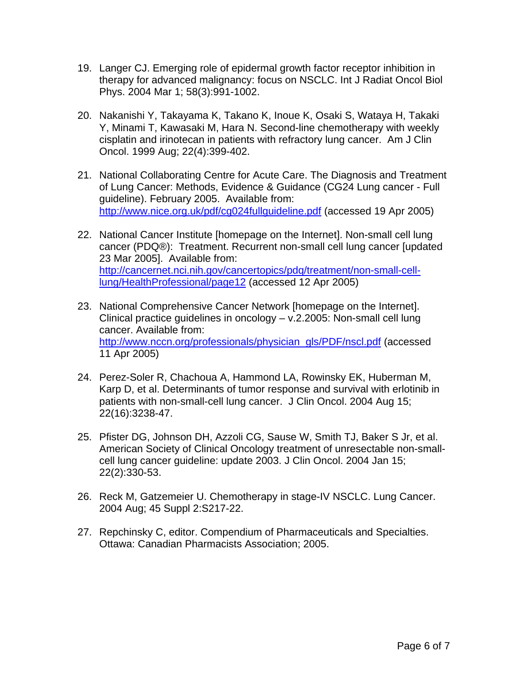- 19. Langer CJ. Emerging role of epidermal growth factor receptor inhibition in therapy for advanced malignancy: focus on NSCLC. Int J Radiat Oncol Biol Phys. 2004 Mar 1; 58(3):991-1002.
- 20. Nakanishi Y, Takayama K, Takano K, Inoue K, Osaki S, Wataya H, Takaki Y, Minami T, Kawasaki M, Hara N. Second-line chemotherapy with weekly cisplatin and irinotecan in patients with refractory lung cancer. Am J Clin Oncol. 1999 Aug; 22(4):399-402.
- 21. National Collaborating Centre for Acute Care. The Diagnosis and Treatment of Lung Cancer: Methods, Evidence & Guidance (CG24 Lung cancer - Full guideline). February 2005. Available from: http://www.nice.org.uk/pdf/cg024fullguideline.pdf (accessed 19 Apr 2005)
- 22. National Cancer Institute [homepage on the Internet]. Non-small cell lung cancer (PDQ®): Treatment. Recurrent non-small cell lung cancer [updated 23 Mar 2005]. Available from: http://cancernet.nci.nih.gov/cancertopics/pdq/treatment/non-small-celllung/HealthProfessional/page12 (accessed 12 Apr 2005)
- 23. National Comprehensive Cancer Network [homepage on the Internet]. Clinical practice guidelines in oncology – v.2.2005: Non-small cell lung cancer. Available from: http://www.nccn.org/professionals/physician\_gls/PDF/nscl.pdf (accessed 11 Apr 2005)
- 24. Perez-Soler R, Chachoua A, Hammond LA, Rowinsky EK, Huberman M, Karp D, et al. Determinants of tumor response and survival with erlotinib in patients with non-small-cell lung cancer. J Clin Oncol. 2004 Aug 15; 22(16):3238-47.
- 25. Pfister DG, Johnson DH, Azzoli CG, Sause W, Smith TJ, Baker S Jr, et al. American Society of Clinical Oncology treatment of unresectable non-smallcell lung cancer guideline: update 2003. J Clin Oncol. 2004 Jan 15; 22(2):330-53.
- 26. Reck M, Gatzemeier U. Chemotherapy in stage-IV NSCLC. Lung Cancer. 2004 Aug; 45 Suppl 2:S217-22.
- 27. Repchinsky C, editor. Compendium of Pharmaceuticals and Specialties. Ottawa: Canadian Pharmacists Association; 2005.